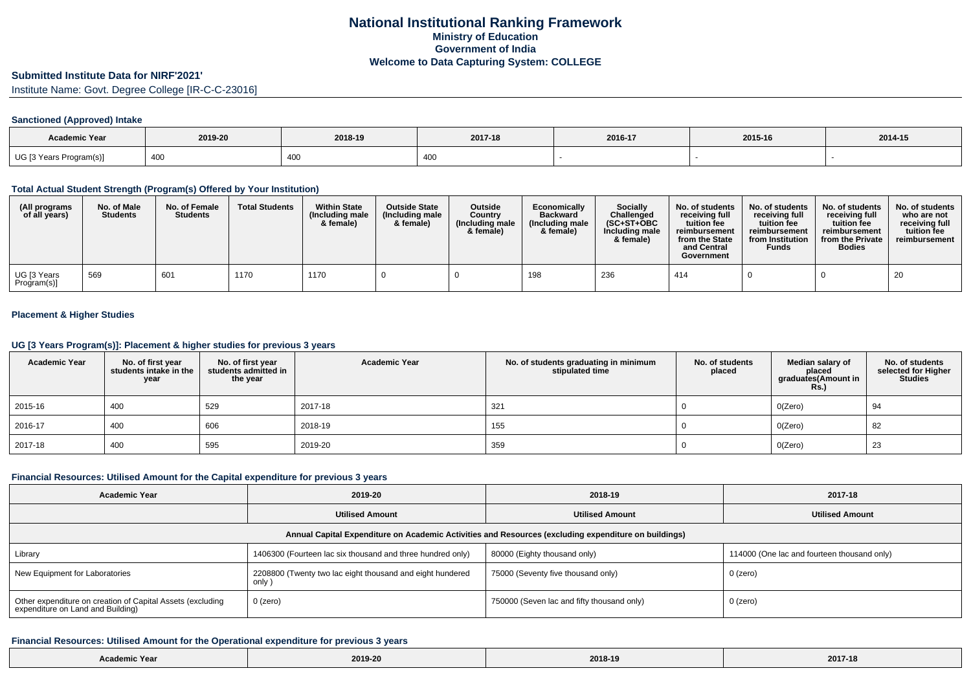# **Submitted Institute Data for NIRF'2021'**

Institute Name: Govt. Degree College [IR-C-C-23016]

### **Sanctioned (Approved) Intake**

| <b>Academic Year</b>    | 2019-20 | 2018-19 | 2017-18 | 2016-17 | 2015-16 | 2014-15 |
|-------------------------|---------|---------|---------|---------|---------|---------|
| UG [3 Years Program(s)] | 400     | 400     | 40J     |         |         |         |

### **Total Actual Student Strength (Program(s) Offered by Your Institution)**

| (All programs<br>of all years) | No. of Male<br><b>Students</b> | No. of Female<br><b>Students</b> | <b>Total Students</b> | <b>Within State</b><br>(Including male<br>& female) | <b>Outside State</b><br>(Including male<br>& female) | Outside<br>Country<br>(Including male<br>& female) | Economically<br><b>Backward</b><br>(Including male<br>& female) | Socially<br>Challenged<br>$(SC+ST+OBC$<br>Including male<br>& female) | No. of students<br>receiving full<br>tuition fee<br>reimbursement<br>from the State<br>and Central<br>Government | No. of students<br>receiving full<br>tuition fee<br>reimbursement<br>from Institution<br><b>Funds</b> | No. of students<br>receiving full<br>tuition fee<br>reimbursement<br>from the Private<br><b>Bodies</b> | No. of students<br>who are not<br>receiving full<br>tuition fee<br>reimbursement |
|--------------------------------|--------------------------------|----------------------------------|-----------------------|-----------------------------------------------------|------------------------------------------------------|----------------------------------------------------|-----------------------------------------------------------------|-----------------------------------------------------------------------|------------------------------------------------------------------------------------------------------------------|-------------------------------------------------------------------------------------------------------|--------------------------------------------------------------------------------------------------------|----------------------------------------------------------------------------------|
| UG [3 Years<br>Program(s)]     | 569                            | 60 <sup>2</sup>                  | 1170                  | 1170                                                |                                                      |                                                    | 198                                                             | 236                                                                   | 414                                                                                                              |                                                                                                       |                                                                                                        | 20                                                                               |

### **Placement & Higher Studies**

#### **UG [3 Years Program(s)]: Placement & higher studies for previous 3 years**

| <b>Academic Year</b> | No. of first year<br>students intake in the<br>year | No. of first year<br>students admitted in<br>the year | <b>Academic Year</b> | No. of students graduating in minimum<br>stipulated time | No. of students<br>placed | Median salary of<br>placed<br>graduates(Amount in<br><b>Rs.)</b> | No. of students<br>selected for Higher<br><b>Studies</b> |
|----------------------|-----------------------------------------------------|-------------------------------------------------------|----------------------|----------------------------------------------------------|---------------------------|------------------------------------------------------------------|----------------------------------------------------------|
| 2015-16              | 400                                                 | 529                                                   | 2017-18              | 321                                                      |                           | O(Zero)                                                          | 94                                                       |
| 2016-17              | 400                                                 | 606                                                   | 2018-19              | 155                                                      |                           | O(Zero)                                                          | 82                                                       |
| 2017-18              | 400                                                 | 595                                                   | 2019-20              | 359                                                      |                           | O(Zero)                                                          | 23                                                       |

### **Financial Resources: Utilised Amount for the Capital expenditure for previous 3 years**

| <b>Academic Year</b>                                                                                 | 2019-20                                                             | 2018-19                                    | 2017-18                                     |  |  |  |  |  |  |  |  |
|------------------------------------------------------------------------------------------------------|---------------------------------------------------------------------|--------------------------------------------|---------------------------------------------|--|--|--|--|--|--|--|--|
|                                                                                                      | <b>Utilised Amount</b>                                              | <b>Utilised Amount</b>                     | <b>Utilised Amount</b>                      |  |  |  |  |  |  |  |  |
| Annual Capital Expenditure on Academic Activities and Resources (excluding expenditure on buildings) |                                                                     |                                            |                                             |  |  |  |  |  |  |  |  |
| Library                                                                                              | 1406300 (Fourteen lac six thousand and three hundred only)          | 80000 (Eighty thousand only)               | 114000 (One lac and fourteen thousand only) |  |  |  |  |  |  |  |  |
| New Equipment for Laboratories                                                                       | 2208800 (Twenty two lac eight thousand and eight hundered<br>only ) | 75000 (Seventy five thousand only)         | 0 (zero)                                    |  |  |  |  |  |  |  |  |
| Other expenditure on creation of Capital Assets (excluding<br>expenditure on Land and Building)      | 0 (zero)                                                            | 750000 (Seven lac and fifty thousand only) | 0 (zero)                                    |  |  |  |  |  |  |  |  |

#### **Financial Resources: Utilised Amount for the Operational expenditure for previous 3 years**

| Academic Year | 2019-20 | 2018-19 | 2017-18 |
|---------------|---------|---------|---------|
|---------------|---------|---------|---------|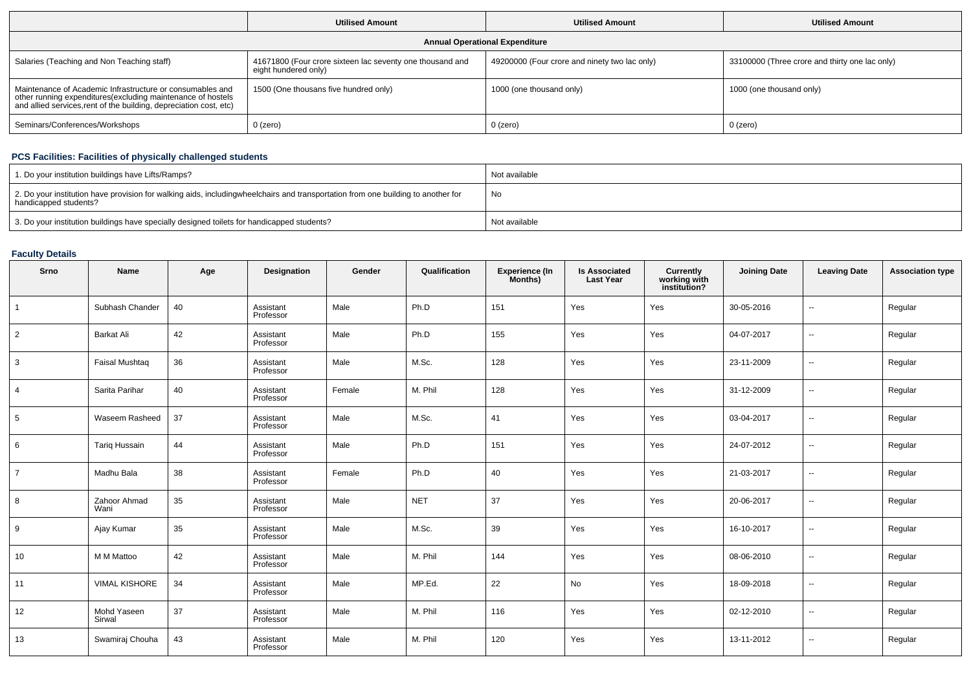|                                                                                                                                                                                                 | <b>Utilised Amount</b>                                                            | <b>Utilised Amount</b>                        | <b>Utilised Amount</b>                         |  |
|-------------------------------------------------------------------------------------------------------------------------------------------------------------------------------------------------|-----------------------------------------------------------------------------------|-----------------------------------------------|------------------------------------------------|--|
|                                                                                                                                                                                                 |                                                                                   | <b>Annual Operational Expenditure</b>         |                                                |  |
| Salaries (Teaching and Non Teaching staff)                                                                                                                                                      | 41671800 (Four crore sixteen lac seventy one thousand and<br>eight hundered only) | 49200000 (Four crore and ninety two lac only) | 33100000 (Three crore and thirty one lac only) |  |
| Maintenance of Academic Infrastructure or consumables and<br>other running expenditures (excluding maintenance of hostels<br>and allied services, rent of the building, depreciation cost, etc) | 1500 (One thousans five hundred only)                                             | 1000 (one thousand only)                      | 1000 (one thousand only)                       |  |
| Seminars/Conferences/Workshops                                                                                                                                                                  | $0$ (zero)                                                                        | 0 (zero)                                      | 0 (zero)                                       |  |

### **PCS Facilities: Facilities of physically challenged students**

| 1. Do your institution buildings have Lifts/Ramps?                                                                                                        | Not available |
|-----------------------------------------------------------------------------------------------------------------------------------------------------------|---------------|
| 2. Do your institution have provision for walking aids, includingwheelchairs and transportation from one building to another for<br>handicapped students? | No            |
| 3. Do your institution buildings have specially designed toilets for handicapped students?                                                                | Not available |

## **Faculty Details**

| Srno           | Name                  | Age | Designation            | Gender | Qualification | Experience (In<br>Months) | Is Associated<br>Last Year | <b>Currently<br/>working with<br/>institution?</b> | <b>Joining Date</b> | <b>Leaving Date</b>      | <b>Association type</b> |
|----------------|-----------------------|-----|------------------------|--------|---------------|---------------------------|----------------------------|----------------------------------------------------|---------------------|--------------------------|-------------------------|
| $\overline{1}$ | Subhash Chander       | 40  | Assistant<br>Professor | Male   | Ph.D          | 151                       | Yes                        | Yes                                                | 30-05-2016          | $\overline{a}$           | Regular                 |
| $\overline{2}$ | Barkat Ali            | 42  | Assistant<br>Professor | Male   | Ph.D          | 155                       | Yes                        | Yes                                                | 04-07-2017          | $\overline{\phantom{a}}$ | Regular                 |
| $\mathbf{3}$   | <b>Faisal Mushtaq</b> | 36  | Assistant<br>Professor | Male   | M.Sc.         | 128                       | Yes                        | Yes                                                | 23-11-2009          |                          | Regular                 |
| $\overline{4}$ | Sarita Parihar        | 40  | Assistant<br>Professor | Female | M. Phil       | 128                       | Yes                        | Yes                                                | 31-12-2009          | --                       | Regular                 |
| 5              | Waseem Rasheed        | 37  | Assistant<br>Professor | Male   | M.Sc.         | 41                        | Yes                        | Yes                                                | 03-04-2017          | $\overline{\phantom{a}}$ | Regular                 |
| 6              | <b>Tariq Hussain</b>  | 44  | Assistant<br>Professor | Male   | Ph.D          | 151                       | Yes                        | Yes                                                | 24-07-2012          | $\overline{\phantom{a}}$ | Regular                 |
| $\overline{7}$ | Madhu Bala            | 38  | Assistant<br>Professor | Female | Ph.D          | 40                        | Yes                        | Yes                                                | 21-03-2017          | --                       | Regular                 |
| 8              | Zahoor Ahmad<br>Wani  | 35  | Assistant<br>Professor | Male   | <b>NET</b>    | 37                        | Yes                        | Yes                                                | 20-06-2017          |                          | Regular                 |
| 9              | Ajay Kumar            | 35  | Assistant<br>Professor | Male   | M.Sc.         | 39                        | Yes                        | Yes                                                | 16-10-2017          | $\sim$                   | Regular                 |
| 10             | M M Mattoo            | 42  | Assistant<br>Professor | Male   | M. Phil       | 144                       | Yes                        | Yes                                                | 08-06-2010          | $\overline{\phantom{a}}$ | Regular                 |
| 11             | <b>VIMAL KISHORE</b>  | 34  | Assistant<br>Professor | Male   | MP.Ed.        | 22                        | No                         | Yes                                                | 18-09-2018          | --                       | Regular                 |
| 12             | Mohd Yaseen<br>Sirwal | 37  | Assistant<br>Professor | Male   | M. Phil       | 116                       | Yes                        | Yes                                                | 02-12-2010          | $\overline{\phantom{a}}$ | Regular                 |
| 13             | Swamiraj Chouha       | 43  | Assistant<br>Professor | Male   | M. Phil       | 120                       | Yes                        | Yes                                                | 13-11-2012          | --                       | Regular                 |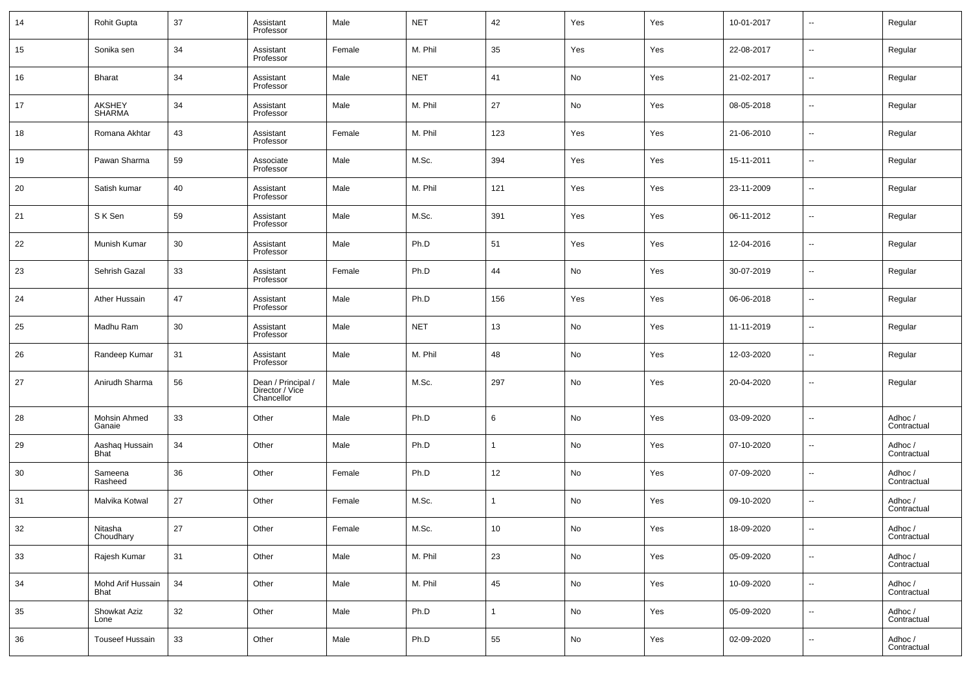| 14 | <b>Rohit Gupta</b>             | 37     | Assistant<br>Professor                              | Male   | <b>NET</b> | 42             | Yes | Yes | 10-01-2017 | $\sim$                   | Regular                |
|----|--------------------------------|--------|-----------------------------------------------------|--------|------------|----------------|-----|-----|------------|--------------------------|------------------------|
| 15 | Sonika sen                     | 34     | Assistant<br>Professor                              | Female | M. Phil    | 35             | Yes | Yes | 22-08-2017 | $\overline{\phantom{a}}$ | Regular                |
| 16 | <b>Bharat</b>                  | 34     | Assistant<br>Professor                              | Male   | <b>NET</b> | 41             | No  | Yes | 21-02-2017 | $\overline{\phantom{a}}$ | Regular                |
| 17 | <b>AKSHEY</b><br><b>SHARMA</b> | 34     | Assistant<br>Professor                              | Male   | M. Phil    | 27             | No  | Yes | 08-05-2018 | $\overline{\phantom{a}}$ | Regular                |
| 18 | Romana Akhtar                  | 43     | Assistant<br>Professor                              | Female | M. Phil    | 123            | Yes | Yes | 21-06-2010 | $\overline{\phantom{a}}$ | Regular                |
| 19 | Pawan Sharma                   | 59     | Associate<br>Professor                              | Male   | M.Sc.      | 394            | Yes | Yes | 15-11-2011 | $\overline{\phantom{a}}$ | Regular                |
| 20 | Satish kumar                   | 40     | Assistant<br>Professor                              | Male   | M. Phil    | 121            | Yes | Yes | 23-11-2009 | $\overline{\phantom{a}}$ | Regular                |
| 21 | S K Sen                        | 59     | Assistant<br>Professor                              | Male   | M.Sc.      | 391            | Yes | Yes | 06-11-2012 | $\overline{\phantom{a}}$ | Regular                |
| 22 | Munish Kumar                   | 30     | Assistant<br>Professor                              | Male   | Ph.D       | 51             | Yes | Yes | 12-04-2016 | $\overline{\phantom{a}}$ | Regular                |
| 23 | Sehrish Gazal                  | 33     | Assistant<br>Professor                              | Female | Ph.D       | 44             | No  | Yes | 30-07-2019 | $\overline{\phantom{a}}$ | Regular                |
| 24 | Ather Hussain                  | 47     | Assistant<br>Professor                              | Male   | Ph.D       | 156            | Yes | Yes | 06-06-2018 | $\overline{\phantom{a}}$ | Regular                |
| 25 | Madhu Ram                      | 30     | Assistant<br>Professor                              | Male   | <b>NET</b> | 13             | No  | Yes | 11-11-2019 | $\overline{\phantom{a}}$ | Regular                |
| 26 | Randeep Kumar                  | 31     | Assistant<br>Professor                              | Male   | M. Phil    | 48             | No  | Yes | 12-03-2020 | $\overline{\phantom{a}}$ | Regular                |
| 27 | Anirudh Sharma                 | 56     | Dean / Principal /<br>Director / Vice<br>Chancellor | Male   | M.Sc.      | 297            | No  | Yes | 20-04-2020 | $\overline{\phantom{a}}$ | Regular                |
| 28 | Mohsin Ahmed<br>Ganaie         | 33     | Other                                               | Male   | Ph.D       | 6              | No  | Yes | 03-09-2020 | $\overline{\phantom{a}}$ | Adhoc /<br>Contractual |
| 29 | Aashaq Hussain<br>Bhat         | 34     | Other                                               | Male   | Ph.D       | $\overline{1}$ | No  | Yes | 07-10-2020 | $\overline{\phantom{a}}$ | Adhoc /<br>Contractual |
| 30 | Sameena<br>Rasheed             | 36     | Other                                               | Female | Ph.D       | 12             | No  | Yes | 07-09-2020 | $\overline{\phantom{a}}$ | Adhoc /<br>Contractual |
| 31 | Malvika Kotwal                 | 27     | Other                                               | Female | M.Sc.      | $\overline{1}$ | No  | Yes | 09-10-2020 | $\overline{\phantom{a}}$ | Adhoc /<br>Contractual |
| 32 | Nitasha<br>Choudhary           | $27\,$ | Other                                               | Female | M.Sc.      | 10             | No  | Yes | 18-09-2020 |                          | Adhoc /<br>Contractual |
| 33 | Rajesh Kumar                   | 31     | Other                                               | Male   | M. Phil    | 23             | No  | Yes | 05-09-2020 | $\overline{\phantom{a}}$ | Adhoc /<br>Contractual |
| 34 | Mohd Arif Hussain<br>Bhat      | 34     | Other                                               | Male   | M. Phil    | 45             | No  | Yes | 10-09-2020 | $\overline{\phantom{a}}$ | Adhoc /<br>Contractual |
| 35 | Showkat Aziz<br>Lone           | 32     | Other                                               | Male   | Ph.D       | $\mathbf{1}$   | No  | Yes | 05-09-2020 | $\overline{\phantom{a}}$ | Adhoc /<br>Contractual |
| 36 | Touseef Hussain                | 33     | Other                                               | Male   | Ph.D       | 55             | No  | Yes | 02-09-2020 | $\overline{\phantom{a}}$ | Adhoc /<br>Contractual |